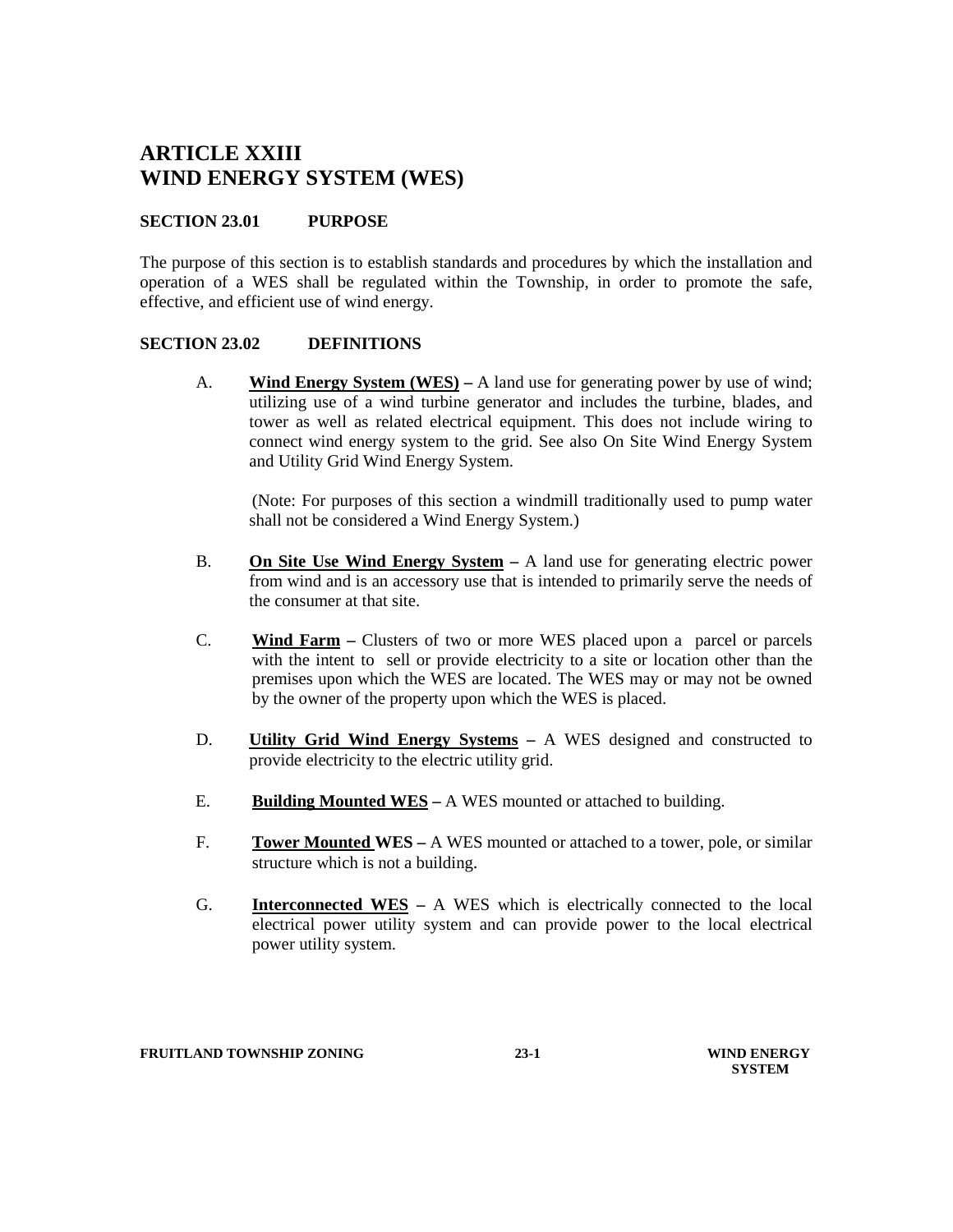# **ARTICLE XXIII WIND ENERGY SYSTEM (WES)**

# **SECTION 23.01 PURPOSE**

The purpose of this section is to establish standards and procedures by which the installation and operation of a WES shall be regulated within the Township, in order to promote the safe, effective, and efficient use of wind energy.

# **SECTION 23.02 DEFINITIONS**

A. **Wind Energy System (WES) –** A land use for generating power by use of wind; utilizing use of a wind turbine generator and includes the turbine, blades, and tower as well as related electrical equipment. This does not include wiring to connect wind energy system to the grid. See also On Site Wind Energy System and Utility Grid Wind Energy System.

(Note: For purposes of this section a windmill traditionally used to pump water shall not be considered a Wind Energy System.)

- B. **On Site Use Wind Energy System –** A land use for generating electric power from wind and is an accessory use that is intended to primarily serve the needs of the consumer at that site.
- C. **Wind Farm –** Clusters of two or more WES placed upon a parcel or parcels with the intent to sell or provide electricity to a site or location other than the premises upon which the WES are located. The WES may or may not be owned by the owner of the property upon which the WES is placed.
- D. **Utility Grid Wind Energy Systems –** A WES designed and constructed to provide electricity to the electric utility grid.
- E. **Building Mounted WES –** A WES mounted or attached to building.
- F. **Tower Mounted WES –** A WES mounted or attached to a tower, pole, or similar structure which is not a building.
- G. **Interconnected WES –** A WES which is electrically connected to the local electrical power utility system and can provide power to the local electrical power utility system.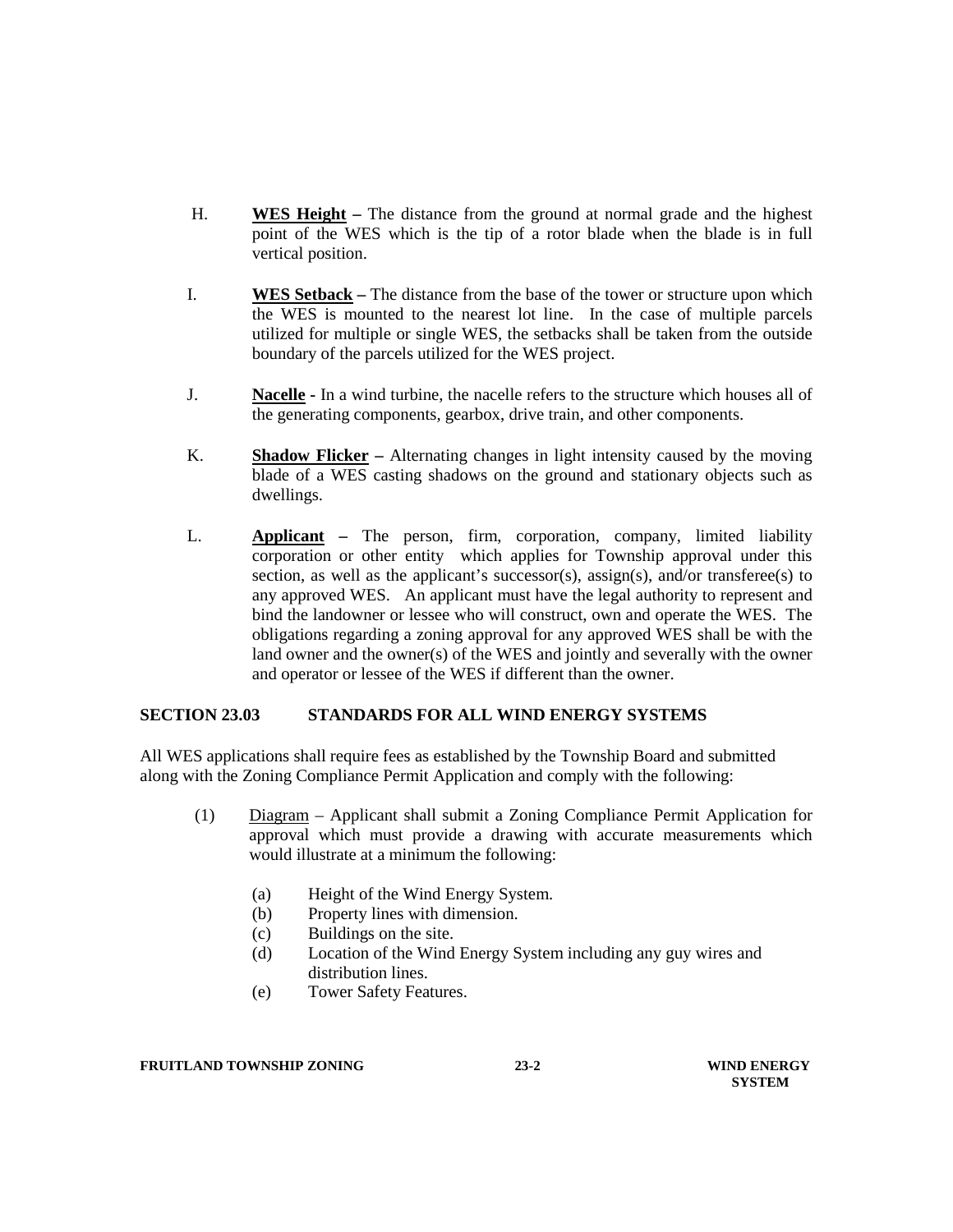- H. **WES Height –** The distance from the ground at normal grade and the highest point of the WES which is the tip of a rotor blade when the blade is in full vertical position.
- I. **WES Setback –** The distance from the base of the tower or structure upon which the WES is mounted to the nearest lot line. In the case of multiple parcels utilized for multiple or single WES, the setbacks shall be taken from the outside boundary of the parcels utilized for the WES project.
- J. **Nacelle -** In a wind turbine, the nacelle refers to the structure which houses all of the generating components, gearbox, drive train, and other components.
- K. **Shadow Flicker –** Alternating changes in light intensity caused by the moving blade of a WES casting shadows on the ground and stationary objects such as dwellings.
- L. **Applicant –** The person, firm, corporation, company, limited liability corporation or other entity which applies for Township approval under this section, as well as the applicant's successor(s), assign(s), and/or transferee(s) to any approved WES. An applicant must have the legal authority to represent and bind the landowner or lessee who will construct, own and operate the WES. The obligations regarding a zoning approval for any approved WES shall be with the land owner and the owner(s) of the WES and jointly and severally with the owner and operator or lessee of the WES if different than the owner.

#### **SECTION 23.03 STANDARDS FOR ALL WIND ENERGY SYSTEMS**

All WES applications shall require fees as established by the Township Board and submitted along with the Zoning Compliance Permit Application and comply with the following:

- (1) Diagram Applicant shall submit a Zoning Compliance Permit Application for approval which must provide a drawing with accurate measurements which would illustrate at a minimum the following:
	- (a) Height of the Wind Energy System.
	- (b) Property lines with dimension.
	- (c) Buildings on the site.
	- (d) Location of the Wind Energy System including any guy wires and distribution lines.
	- (e) Tower Safety Features.

#### **FRUITLAND TOWNSHIP ZONING 23-2 WIND ENERGY**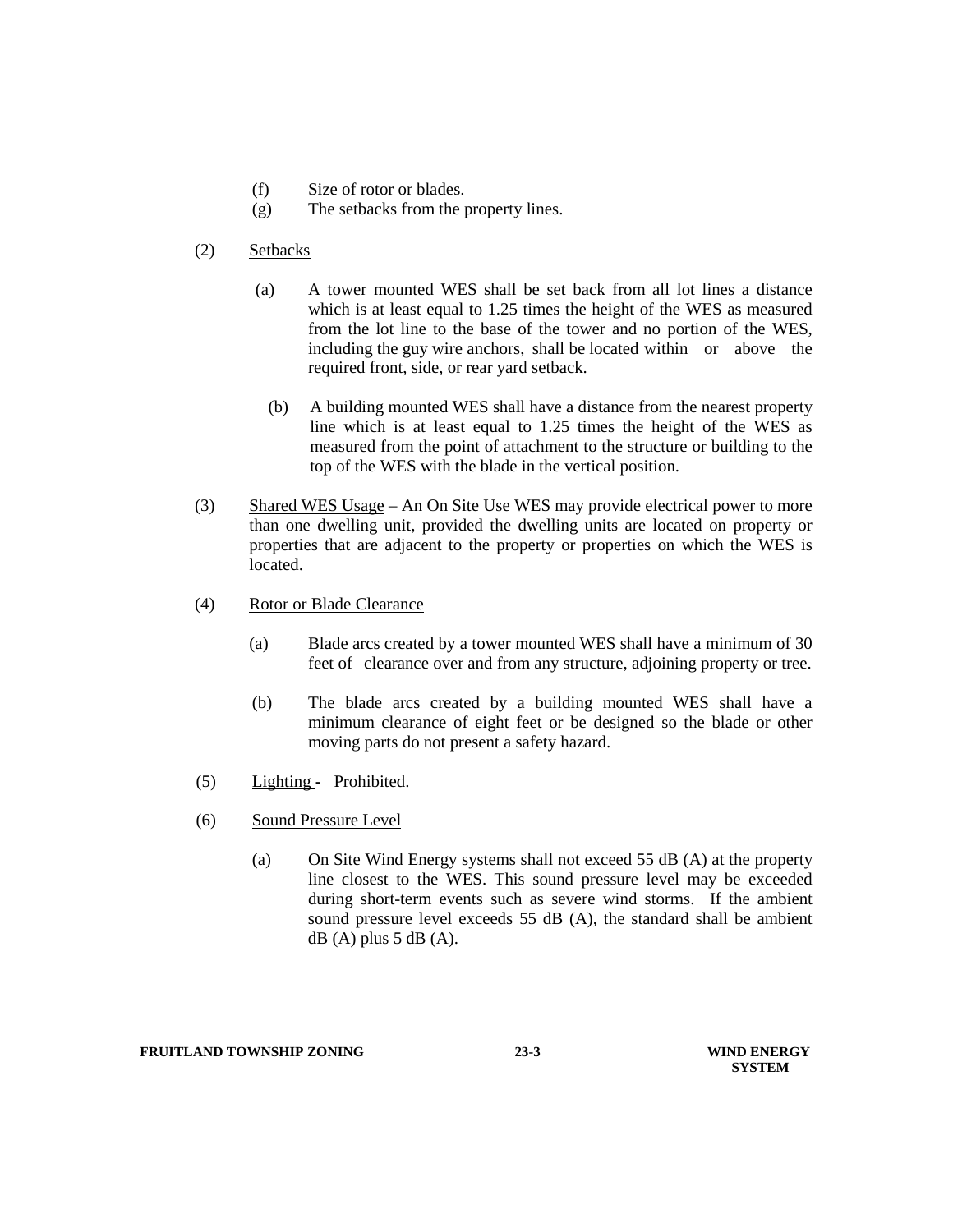- (f) Size of rotor or blades.
- (g) The setbacks from the property lines.
- (2) Setbacks
	- (a) A tower mounted WES shall be set back from all lot lines a distance which is at least equal to 1.25 times the height of the WES as measured from the lot line to the base of the tower and no portion of the WES, including the guy wire anchors, shall be located within or above the required front, side, or rear yard setback.
		- (b) A building mounted WES shall have a distance from the nearest property line which is at least equal to 1.25 times the height of the WES as measured from the point of attachment to the structure or building to the top of the WES with the blade in the vertical position.
- (3)Shared WES Usage An On Site Use WES may provide electrical power to more than one dwelling unit, provided the dwelling units are located on property or properties that are adjacent to the property or properties on which the WES is located.
- (4) Rotor or Blade Clearance
	- (a) Blade arcs created by a tower mounted WES shall have a minimum of 30 feet of clearance over and from any structure, adjoining property or tree.
	- (b) The blade arcs created by a building mounted WES shall have a minimum clearance of eight feet or be designed so the blade or other moving parts do not present a safety hazard.
- (5) Lighting **-** Prohibited.
- (6) Sound Pressure Level
	- (a) On Site Wind Energy systems shall not exceed 55 dB (A) at the property line closest to the WES. This sound pressure level may be exceeded during short-term events such as severe wind storms. If the ambient sound pressure level exceeds 55 dB (A), the standard shall be ambient  $dB(A)$  plus 5 dB  $(A)$ .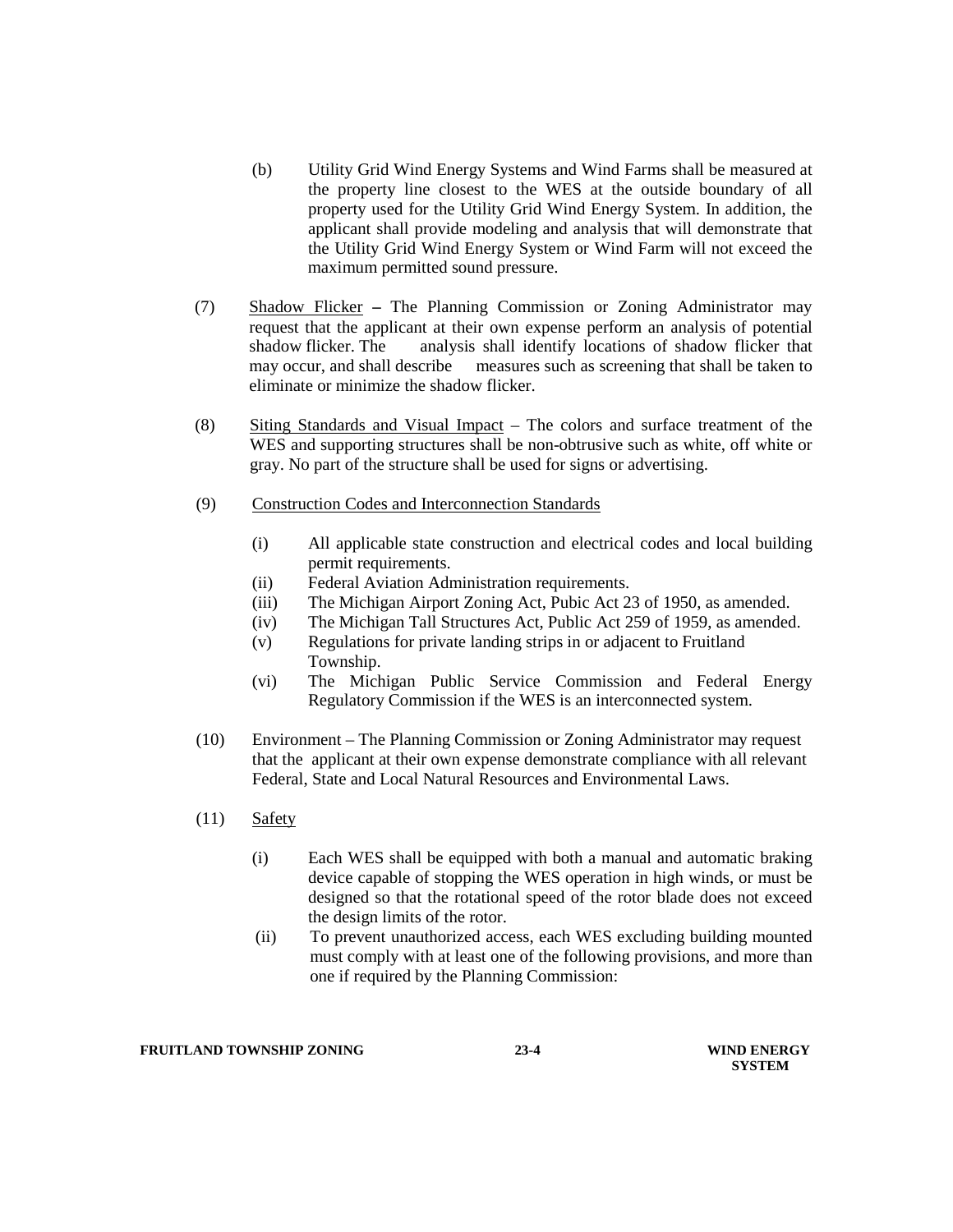- (b) Utility Grid Wind Energy Systems and Wind Farms shall be measured at the property line closest to the WES at the outside boundary of all property used for the Utility Grid Wind Energy System. In addition, the applicant shall provide modeling and analysis that will demonstrate that the Utility Grid Wind Energy System or Wind Farm will not exceed the maximum permitted sound pressure.
- (7) Shadow Flicker **–** The Planning Commission or Zoning Administrator may request that the applicant at their own expense perform an analysis of potential shadow flicker. The analysis shall identify locations of shadow flicker that may occur, and shall describe measures such as screening that shall be taken to eliminate or minimize the shadow flicker.
- (8) Siting Standards and Visual Impact The colors and surface treatment of the WES and supporting structures shall be non-obtrusive such as white, off white or gray. No part of the structure shall be used for signs or advertising.
- (9) Construction Codes and Interconnection Standards
	- (i) All applicable state construction and electrical codes and local building permit requirements.
	- (ii) Federal Aviation Administration requirements.
	- (iii) The Michigan Airport Zoning Act, Pubic Act 23 of 1950, as amended.
	- (iv) The Michigan Tall Structures Act, Public Act 259 of 1959, as amended.
	- (v) Regulations for private landing strips in or adjacent to Fruitland Township.
	- (vi) The Michigan Public Service Commission and Federal Energy Regulatory Commission if the WES is an interconnected system.
- (10) Environment The Planning Commission or Zoning Administrator may request that the applicant at their own expense demonstrate compliance with all relevant Federal, State and Local Natural Resources and Environmental Laws.
- (11) Safety
	- (i) Each WES shall be equipped with both a manual and automatic braking device capable of stopping the WES operation in high winds, or must be designed so that the rotational speed of the rotor blade does not exceed the design limits of the rotor.
	- (ii) To prevent unauthorized access, each WES excluding building mounted must comply with at least one of the following provisions, and more than one if required by the Planning Commission: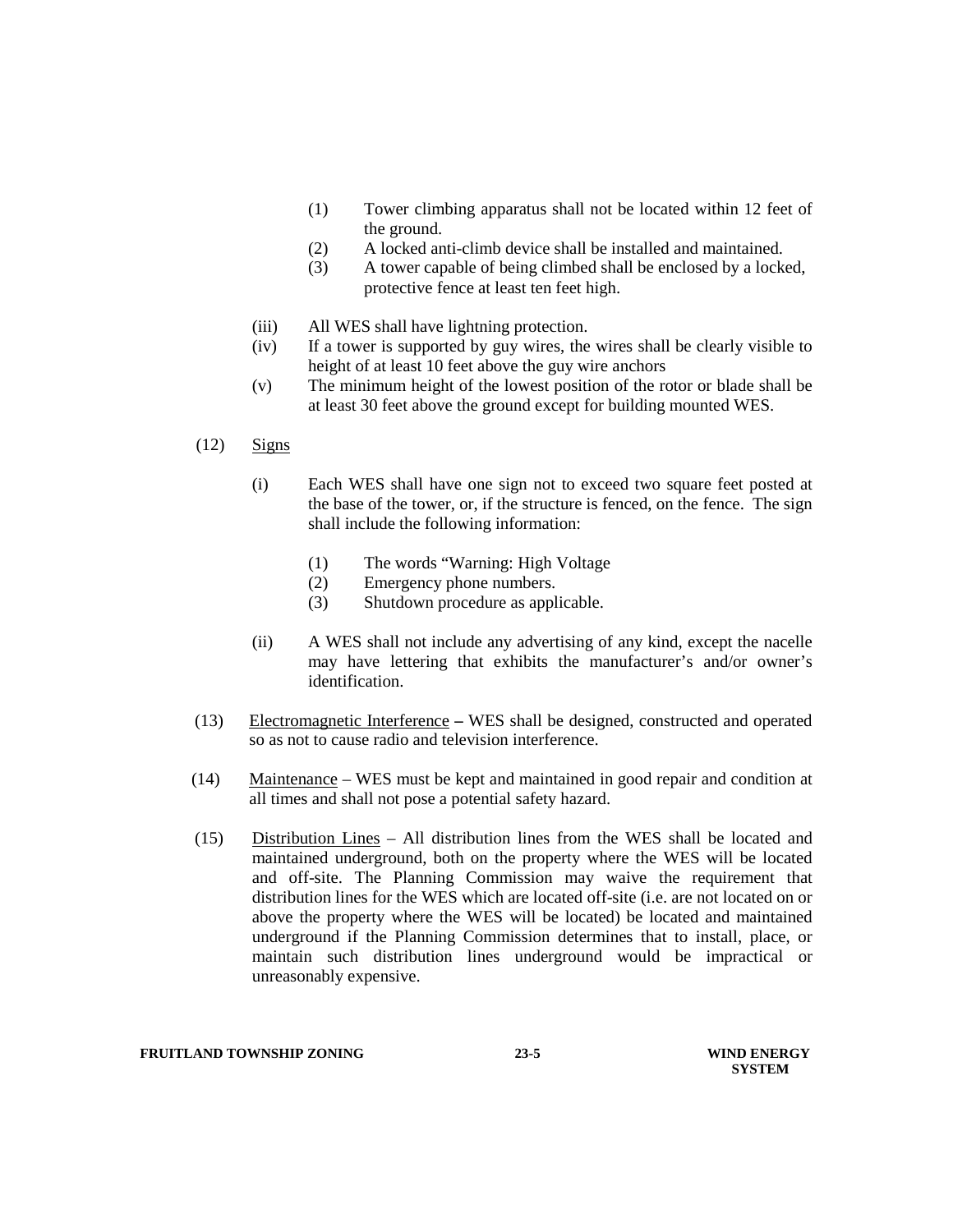- (1) Tower climbing apparatus shall not be located within 12 feet of the ground.
- (2) A locked anti-climb device shall be installed and maintained.
- (3) A tower capable of being climbed shall be enclosed by a locked, protective fence at least ten feet high.
- (iii) All WES shall have lightning protection.
- (iv) If a tower is supported by guy wires, the wires shall be clearly visible to height of at least 10 feet above the guy wire anchors
- (v) The minimum height of the lowest position of the rotor or blade shall be at least 30 feet above the ground except for building mounted WES.
- $(12)$  Signs
	- (i) Each WES shall have one sign not to exceed two square feet posted at the base of the tower, or, if the structure is fenced, on the fence. The sign shall include the following information:
		- (1) The words "Warning: High Voltage
		- (2) Emergency phone numbers.
		- (3) Shutdown procedure as applicable.
	- (ii) A WES shall not include any advertising of any kind, except the nacelle may have lettering that exhibits the manufacturer's and/or owner's identification.
- (13) Electromagnetic Interference **–** WES shall be designed, constructed and operated so as not to cause radio and television interference.
- (14) Maintenance WES must be kept and maintained in good repair and condition at all times and shall not pose a potential safety hazard.
- (15) Distribution Lines All distribution lines from the WES shall be located and maintained underground, both on the property where the WES will be located and off-site. The Planning Commission may waive the requirement that distribution lines for the WES which are located off-site (i.e. are not located on or above the property where the WES will be located) be located and maintained underground if the Planning Commission determines that to install, place, or maintain such distribution lines underground would be impractical or unreasonably expensive.